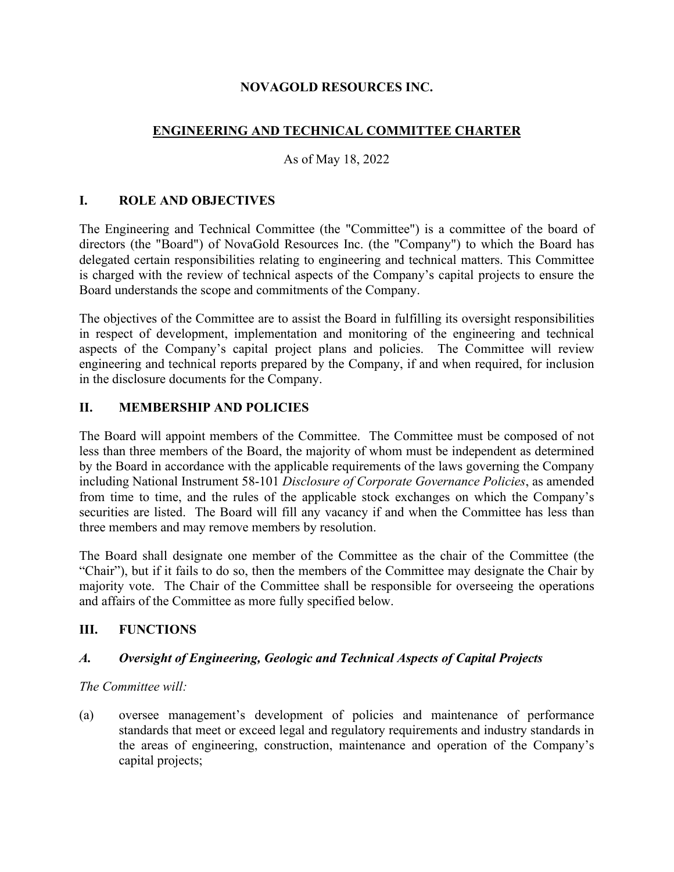### **NOVAGOLD RESOURCES INC.**

# **ENGINEERING AND TECHNICAL COMMITTEE CHARTER**

### As of May 18, 2022

### **I. ROLE AND OBJECTIVES**

The Engineering and Technical Committee (the "Committee") is a committee of the board of directors (the "Board") of NovaGold Resources Inc. (the "Company") to which the Board has delegated certain responsibilities relating to engineering and technical matters. This Committee is charged with the review of technical aspects of the Company's capital projects to ensure the Board understands the scope and commitments of the Company.

The objectives of the Committee are to assist the Board in fulfilling its oversight responsibilities in respect of development, implementation and monitoring of the engineering and technical aspects of the Company's capital project plans and policies. The Committee will review engineering and technical reports prepared by the Company, if and when required, for inclusion in the disclosure documents for the Company.

### **II. MEMBERSHIP AND POLICIES**

The Board will appoint members of the Committee. The Committee must be composed of not less than three members of the Board, the majority of whom must be independent as determined by the Board in accordance with the applicable requirements of the laws governing the Company including National Instrument 58-101 *Disclosure of Corporate Governance Policies*, as amended from time to time, and the rules of the applicable stock exchanges on which the Company's securities are listed. The Board will fill any vacancy if and when the Committee has less than three members and may remove members by resolution.

The Board shall designate one member of the Committee as the chair of the Committee (the "Chair"), but if it fails to do so, then the members of the Committee may designate the Chair by majority vote. The Chair of the Committee shall be responsible for overseeing the operations and affairs of the Committee as more fully specified below.

#### **III. FUNCTIONS**

### *A. Oversight of Engineering, Geologic and Technical Aspects of Capital Projects*

*The Committee will:*

(a) oversee management's development of policies and maintenance of performance standards that meet or exceed legal and regulatory requirements and industry standards in the areas of engineering, construction, maintenance and operation of the Company's capital projects;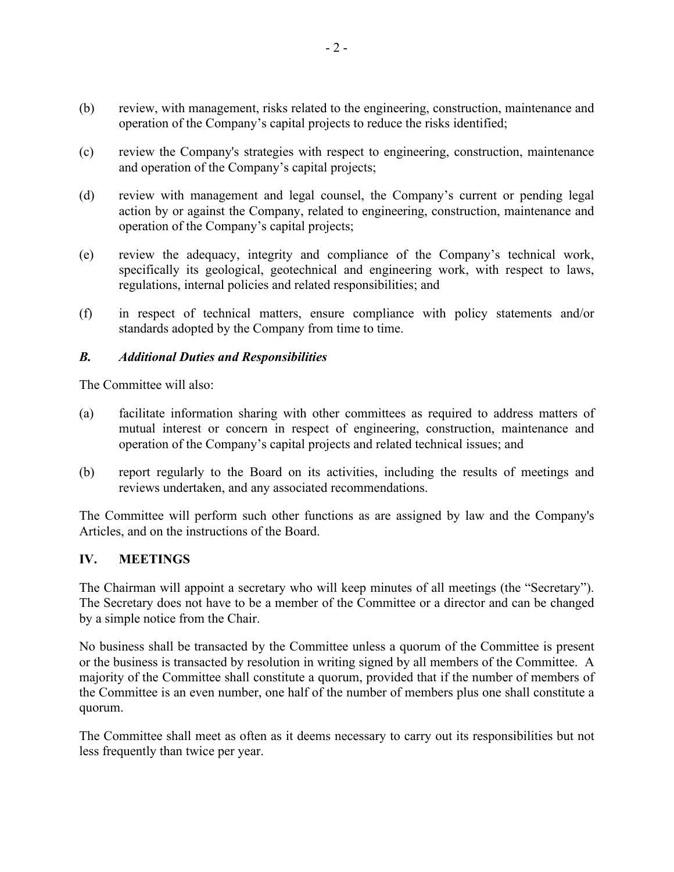- (b) review, with management, risks related to the engineering, construction, maintenance and operation of the Company's capital projects to reduce the risks identified;
- (c) review the Company's strategies with respect to engineering, construction, maintenance and operation of the Company's capital projects;
- (d) review with management and legal counsel, the Company's current or pending legal action by or against the Company, related to engineering, construction, maintenance and operation of the Company's capital projects;
- (e) review the adequacy, integrity and compliance of the Company's technical work, specifically its geological, geotechnical and engineering work, with respect to laws, regulations, internal policies and related responsibilities; and
- (f) in respect of technical matters, ensure compliance with policy statements and/or standards adopted by the Company from time to time.

#### *B. Additional Duties and Responsibilities*

The Committee will also:

- (a) facilitate information sharing with other committees as required to address matters of mutual interest or concern in respect of engineering, construction, maintenance and operation of the Company's capital projects and related technical issues; and
- (b) report regularly to the Board on its activities, including the results of meetings and reviews undertaken, and any associated recommendations.

The Committee will perform such other functions as are assigned by law and the Company's Articles, and on the instructions of the Board.

#### **IV. MEETINGS**

The Chairman will appoint a secretary who will keep minutes of all meetings (the "Secretary"). The Secretary does not have to be a member of the Committee or a director and can be changed by a simple notice from the Chair.

No business shall be transacted by the Committee unless a quorum of the Committee is present or the business is transacted by resolution in writing signed by all members of the Committee. A majority of the Committee shall constitute a quorum, provided that if the number of members of the Committee is an even number, one half of the number of members plus one shall constitute a quorum.

The Committee shall meet as often as it deems necessary to carry out its responsibilities but not less frequently than twice per year.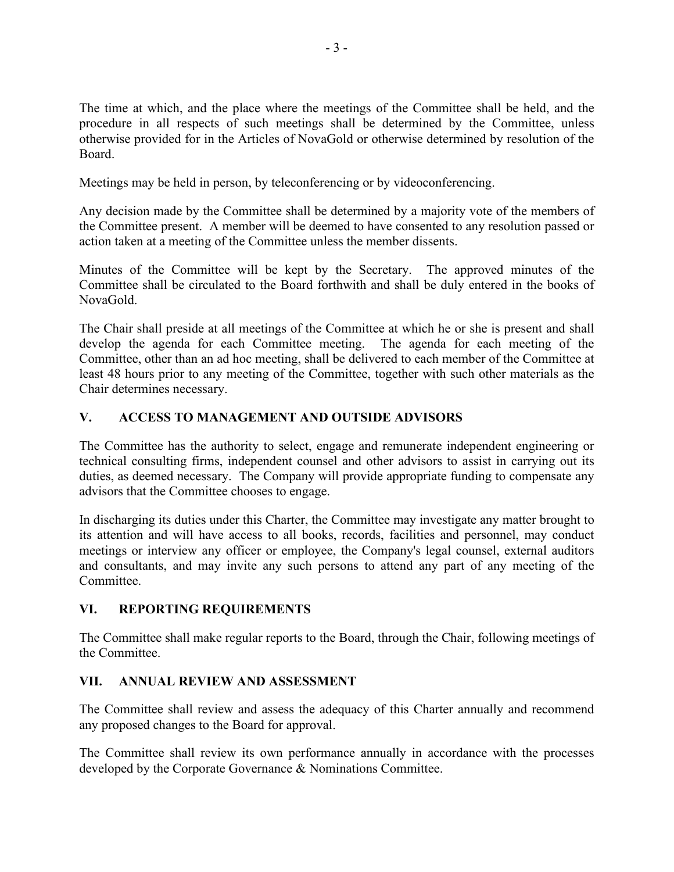The time at which, and the place where the meetings of the Committee shall be held, and the procedure in all respects of such meetings shall be determined by the Committee, unless otherwise provided for in the Articles of NovaGold or otherwise determined by resolution of the Board.

Meetings may be held in person, by teleconferencing or by videoconferencing.

Any decision made by the Committee shall be determined by a majority vote of the members of the Committee present. A member will be deemed to have consented to any resolution passed or action taken at a meeting of the Committee unless the member dissents.

Minutes of the Committee will be kept by the Secretary. The approved minutes of the Committee shall be circulated to the Board forthwith and shall be duly entered in the books of NovaGold.

The Chair shall preside at all meetings of the Committee at which he or she is present and shall develop the agenda for each Committee meeting. The agenda for each meeting of the Committee, other than an ad hoc meeting, shall be delivered to each member of the Committee at least 48 hours prior to any meeting of the Committee, together with such other materials as the Chair determines necessary.

# **V. ACCESS TO MANAGEMENT AND OUTSIDE ADVISORS**

The Committee has the authority to select, engage and remunerate independent engineering or technical consulting firms, independent counsel and other advisors to assist in carrying out its duties, as deemed necessary. The Company will provide appropriate funding to compensate any advisors that the Committee chooses to engage.

In discharging its duties under this Charter, the Committee may investigate any matter brought to its attention and will have access to all books, records, facilities and personnel, may conduct meetings or interview any officer or employee, the Company's legal counsel, external auditors and consultants, and may invite any such persons to attend any part of any meeting of the Committee.

# **VI. REPORTING REQUIREMENTS**

The Committee shall make regular reports to the Board, through the Chair, following meetings of the Committee.

# **VII. ANNUAL REVIEW AND ASSESSMENT**

The Committee shall review and assess the adequacy of this Charter annually and recommend any proposed changes to the Board for approval.

The Committee shall review its own performance annually in accordance with the processes developed by the Corporate Governance & Nominations Committee.